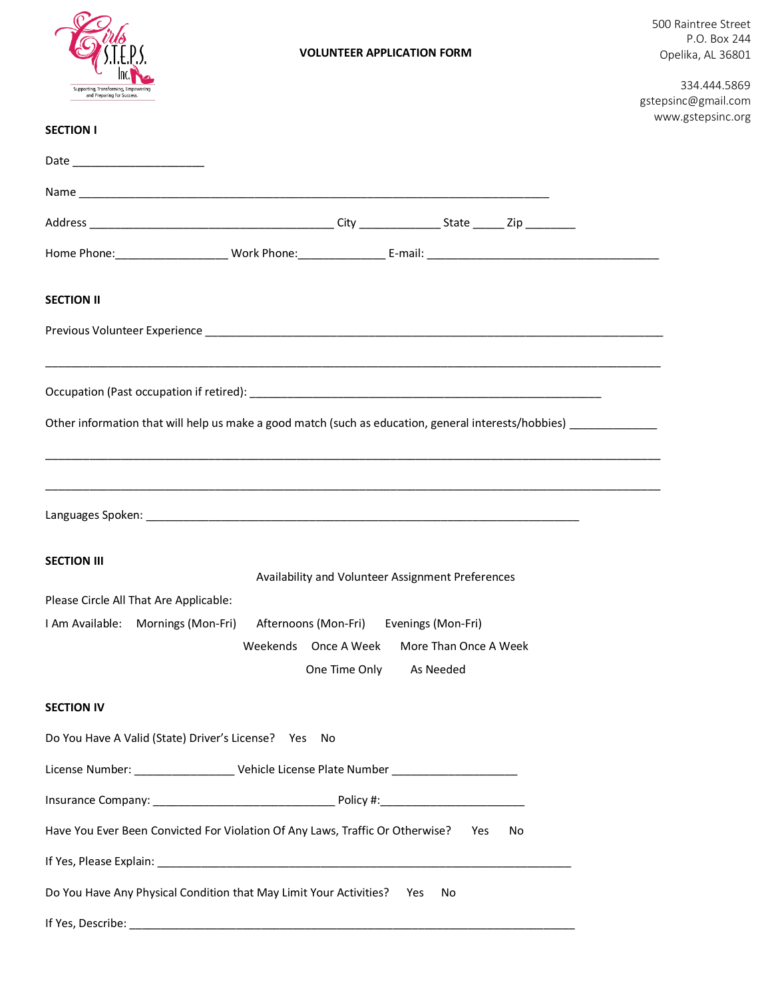

Date \_\_\_\_\_\_\_\_\_\_\_\_\_\_\_\_\_\_\_\_\_

**SECTION I** 

**SECTION II**

## Name Address and the control of the control of the control of the control of the control of the control of the control of the control of the control of the control of the control of the control of the control of the control of Home Phone:\_\_\_\_\_\_\_\_\_\_\_\_\_\_\_\_\_\_ Work Phone:\_\_\_\_\_\_\_\_\_\_\_\_\_\_ E-mail: \_\_\_\_\_\_\_\_\_\_\_\_\_\_\_\_\_\_\_\_\_\_\_\_\_\_\_\_\_\_\_\_\_\_\_\_\_ Previous Volunteer Experience \_\_\_\_\_\_\_\_\_\_\_\_\_\_\_\_\_\_\_\_\_\_\_\_\_\_\_\_\_\_\_\_\_\_\_\_\_\_\_\_\_\_\_\_\_\_\_\_\_\_\_\_\_\_\_\_\_\_\_\_\_\_\_\_\_\_\_\_\_\_\_\_\_ \_\_\_\_\_\_\_\_\_\_\_\_\_\_\_\_\_\_\_\_\_\_\_\_\_\_\_\_\_\_\_\_\_\_\_\_\_\_\_\_\_\_\_\_\_\_\_\_\_\_\_\_\_\_\_\_\_\_\_\_\_\_\_\_\_\_\_\_\_\_\_\_\_\_\_\_\_\_\_\_\_\_\_\_\_\_\_\_\_\_\_\_\_\_\_\_\_\_ Occupation (Past occupation if retired): \_\_\_\_\_\_\_\_\_\_\_\_\_\_\_\_\_\_\_\_\_\_\_\_\_\_\_\_\_\_\_\_\_\_\_\_\_\_\_\_\_\_\_\_\_\_\_\_\_\_\_\_\_\_\_\_ Other information that will help us make a good match (such as education, general interests/hobbies) 334.444.5869 gstepsinc@gmail.com www.gstepsinc.org

\_\_\_\_\_\_\_\_\_\_\_\_\_\_\_\_\_\_\_\_\_\_\_\_\_\_\_\_\_\_\_\_\_\_\_\_\_\_\_\_\_\_\_\_\_\_\_\_\_\_\_\_\_\_\_\_\_\_\_\_\_\_\_\_\_\_\_\_\_\_\_\_\_\_\_\_\_\_\_\_\_\_\_\_\_\_\_\_\_\_\_\_\_\_\_\_\_\_ \_\_\_\_\_\_\_\_\_\_\_\_\_\_\_\_\_\_\_\_\_\_\_\_\_\_\_\_\_\_\_\_\_\_\_\_\_\_\_\_\_\_\_\_\_\_\_\_\_\_\_\_\_\_\_\_\_\_\_\_\_\_\_\_\_\_\_\_\_\_\_\_\_\_\_\_\_\_\_\_\_\_\_\_\_\_\_\_\_\_\_\_\_\_\_\_\_\_ Languages Spoken: \_\_\_\_\_\_\_\_\_\_\_\_\_\_\_\_\_\_\_\_\_\_\_\_\_\_\_\_\_\_\_\_\_\_\_\_\_\_\_\_\_\_\_\_\_\_\_\_\_\_\_\_\_\_\_\_\_\_\_\_\_\_\_\_\_\_\_\_\_ **SECTION III** Availability and Volunteer Assignment Preferences Please Circle All That Are Applicable: I Am Available: Mornings (Mon-Fri) Afternoons (Mon-Fri) Evenings (Mon-Fri) Weekends Once A Week More Than Once A Week One Time Only As Needed **SECTION IV** Do You Have A Valid (State) Driver's License? Yes No License Number: \_\_\_\_\_\_\_\_\_\_\_\_\_\_\_\_\_\_\_\_ Vehicle License Plate Number \_\_\_\_\_\_\_\_\_\_\_\_\_\_\_ Insurance Company: \_\_\_\_\_\_\_\_\_\_\_\_\_\_\_\_\_\_\_\_\_\_\_\_\_\_\_\_\_ Policy #:\_\_\_\_\_\_\_\_\_\_\_\_\_\_\_\_\_\_\_\_\_\_\_ Have You Ever Been Convicted For Violation Of Any Laws, Traffic Or Otherwise? Yes No If Yes, Please Explain: Do You Have Any Physical Condition that May Limit Your Activities? Yes No

If Yes, Describe:  $\blacksquare$